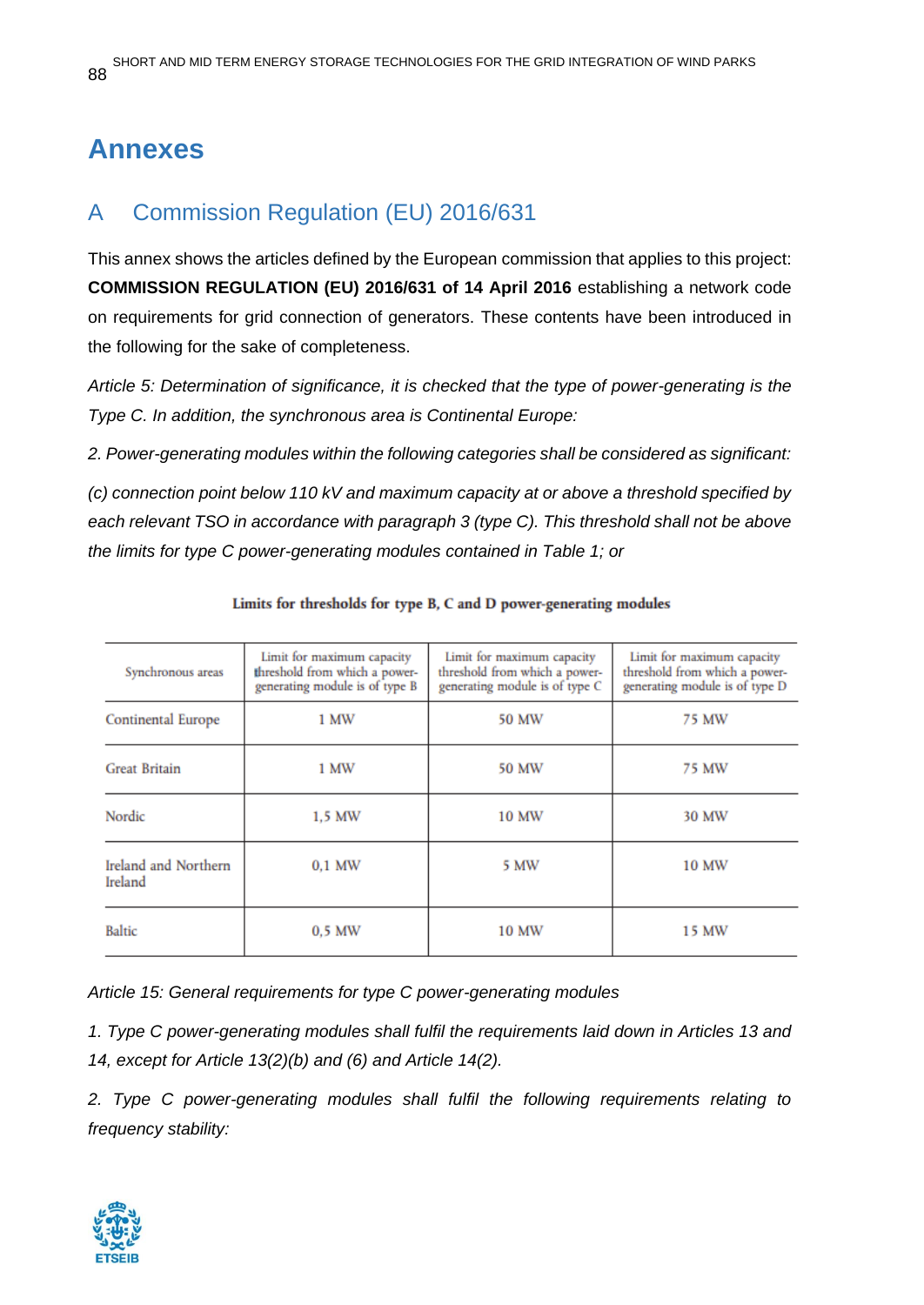# **Annexes**

## A Commission Regulation (EU) 2016/631

This annex shows the articles defined by the European commission that applies to this project: **COMMISSION REGULATION (EU) 2016/631 of 14 April 2016** establishing a network code on requirements for grid connection of generators. These contents have been introduced in the following for the sake of completeness.

*Article 5: Determination of significance, it is checked that the type of power-generating is the Type C. In addition, the synchronous area is Continental Europe:*

*2. Power-generating modules within the following categories shall be considered as significant:*

*(c) connection point below 110 kV and maximum capacity at or above a threshold specified by each relevant TSO in accordance with paragraph 3 (type C). This threshold shall not be above the limits for type C power-generating modules contained in Table 1; or*

| Synchronous areas               | Limit for maximum capacity<br>threshold from which a power-<br>generating module is of type B | Limit for maximum capacity<br>threshold from which a power-<br>generating module is of type C | Limit for maximum capacity<br>threshold from which a power-<br>generating module is of type D |
|---------------------------------|-----------------------------------------------------------------------------------------------|-----------------------------------------------------------------------------------------------|-----------------------------------------------------------------------------------------------|
| Continental Europe              | 1 MW                                                                                          | 50 MW                                                                                         | 75 MW                                                                                         |
| <b>Great Britain</b>            | 1 MW                                                                                          | <b>50 MW</b>                                                                                  | 75 MW                                                                                         |
| Nordic                          | 1.5 MW                                                                                        | 10 MW                                                                                         | 30 MW                                                                                         |
| Ireland and Northern<br>Ireland | $0.1$ MW                                                                                      | 5 MW                                                                                          | <b>10 MW</b>                                                                                  |
| <b>Baltic</b>                   | $0.5$ MW                                                                                      | 10 MW                                                                                         | 15 MW                                                                                         |

#### Limits for thresholds for type B, C and D power-generating modules

*Article 15: General requirements for type C power-generating modules*

*1. Type C power-generating modules shall fulfil the requirements laid down in Articles 13 and 14, except for Article 13(2)(b) and (6) and Article 14(2).*

*2. Type C power-generating modules shall fulfil the following requirements relating to frequency stability:*

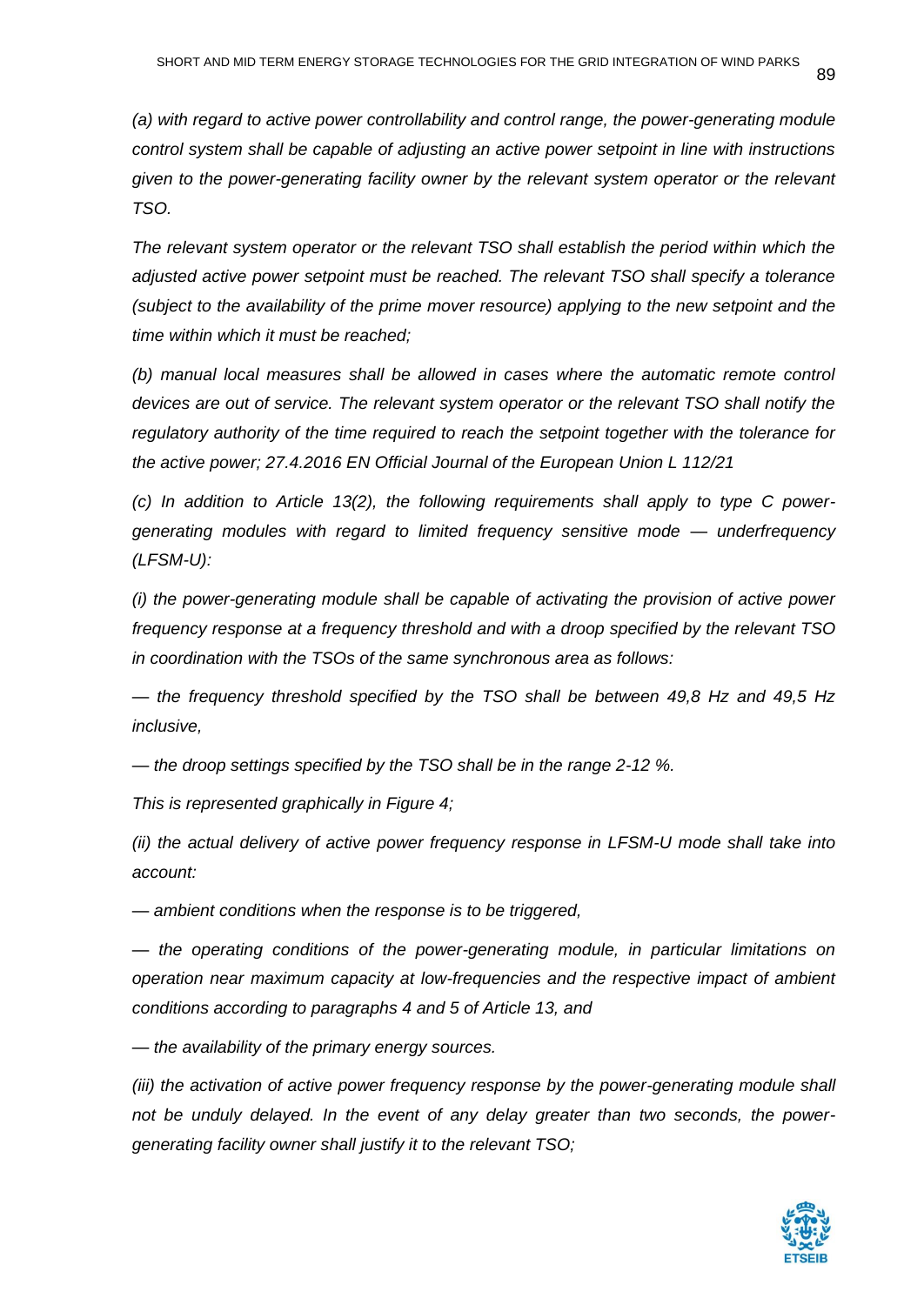*(a) with regard to active power controllability and control range, the power-generating module control system shall be capable of adjusting an active power setpoint in line with instructions given to the power-generating facility owner by the relevant system operator or the relevant TSO.*

*The relevant system operator or the relevant TSO shall establish the period within which the adjusted active power setpoint must be reached. The relevant TSO shall specify a tolerance (subject to the availability of the prime mover resource) applying to the new setpoint and the time within which it must be reached;*

*(b) manual local measures shall be allowed in cases where the automatic remote control devices are out of service. The relevant system operator or the relevant TSO shall notify the regulatory authority of the time required to reach the setpoint together with the tolerance for the active power; 27.4.2016 EN Official Journal of the European Union L 112/21* 

*(c) In addition to Article 13(2), the following requirements shall apply to type C powergenerating modules with regard to limited frequency sensitive mode — underfrequency (LFSM-U):*

*(i) the power-generating module shall be capable of activating the provision of active power frequency response at a frequency threshold and with a droop specified by the relevant TSO in coordination with the TSOs of the same synchronous area as follows:*

*— the frequency threshold specified by the TSO shall be between 49,8 Hz and 49,5 Hz inclusive,*

*— the droop settings specified by the TSO shall be in the range 2-12 %.*

*This is represented graphically in Figure 4;*

*(ii) the actual delivery of active power frequency response in LFSM-U mode shall take into account:*

*— ambient conditions when the response is to be triggered,*

*— the operating conditions of the power-generating module, in particular limitations on operation near maximum capacity at low-frequencies and the respective impact of ambient conditions according to paragraphs 4 and 5 of Article 13, and*

*— the availability of the primary energy sources.*

*(iii)* the activation of active power frequency response by the power-generating module shall *not be unduly delayed. In the event of any delay greater than two seconds, the powergenerating facility owner shall justify it to the relevant TSO;*

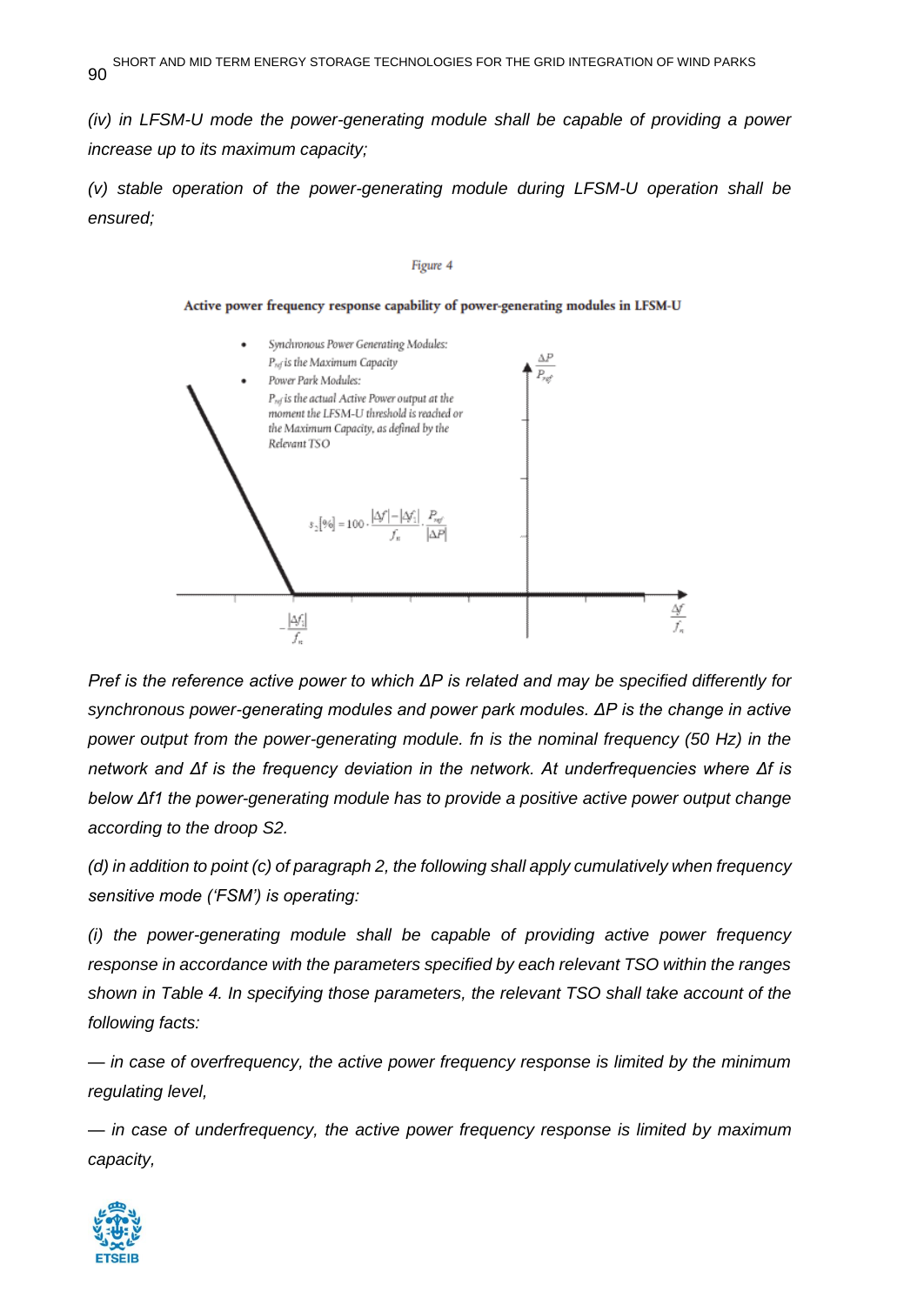*(iv) in LFSM-U mode the power-generating module shall be capable of providing a power increase up to its maximum capacity;*

*(v) stable operation of the power-generating module during LFSM-U operation shall be ensured;*

#### Figure 4

Active power frequency response capability of power-generating modules in LFSM-U



*Pref is the reference active power to which ΔΡ is related and may be specified differently for synchronous power-generating modules and power park modules. ΔΡ is the change in active power output from the power-generating module. fn is the nominal frequency (50 Hz) in the network and Δf is the frequency deviation in the network. At underfrequencies where Δf is below Δf1 the power-generating module has to provide a positive active power output change according to the droop S2.* 

*(d) in addition to point (c) of paragraph 2, the following shall apply cumulatively when frequency sensitive mode ('FSM') is operating:*

*(i) the power-generating module shall be capable of providing active power frequency response in accordance with the parameters specified by each relevant TSO within the ranges shown in Table 4. In specifying those parameters, the relevant TSO shall take account of the following facts:*

*— in case of overfrequency, the active power frequency response is limited by the minimum regulating level,*

*— in case of underfrequency, the active power frequency response is limited by maximum capacity,*

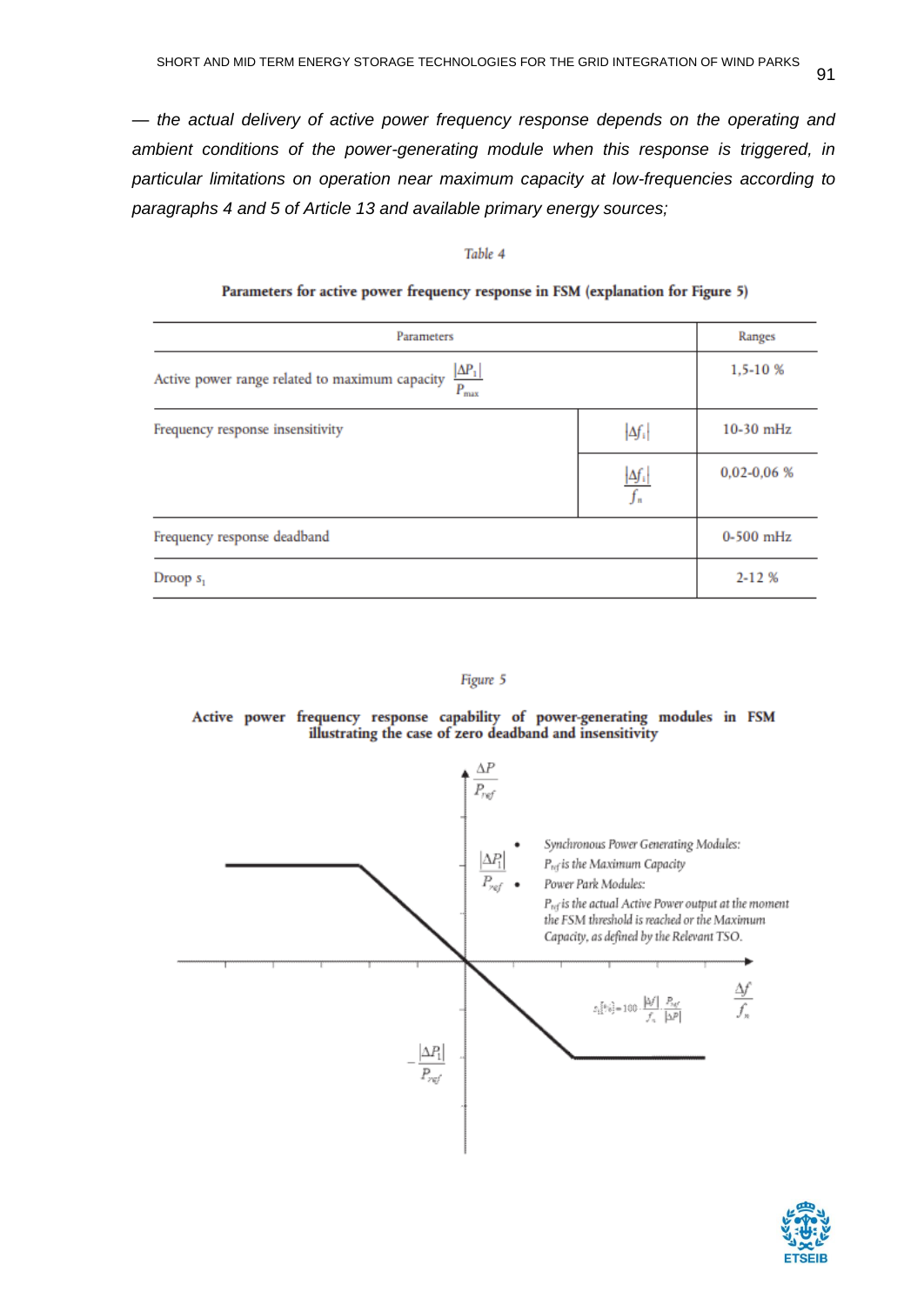*— the actual delivery of active power frequency response depends on the operating and ambient conditions of the power-generating module when this response is triggered, in particular limitations on operation near maximum capacity at low-frequencies according to paragraphs 4 and 5 of Article 13 and available primary energy sources;*

#### Table 4

| Parameters                                                                        |                             | Ranges        |
|-----------------------------------------------------------------------------------|-----------------------------|---------------|
| $\frac{ \Delta P_1 }{P_{\max}}$<br>Active power range related to maximum capacity | 1,5-10 %                    |               |
| Frequency response insensitivity                                                  | $\left  \Delta f_i \right $ | $10-30$ mHz   |
|                                                                                   | $\Delta f_i$<br>$f_n$       | $0,02-0,06$ % |
| Frequency response deadband                                                       |                             | $0-500$ mHz   |
| Droop $s1$                                                                        |                             | $2 - 12%$     |

#### Parameters for active power frequency response in FSM (explanation for Figure 5)



Active power frequency response capability of power-generating modules in FSM illustrating the case of zero deadband and insensitivity



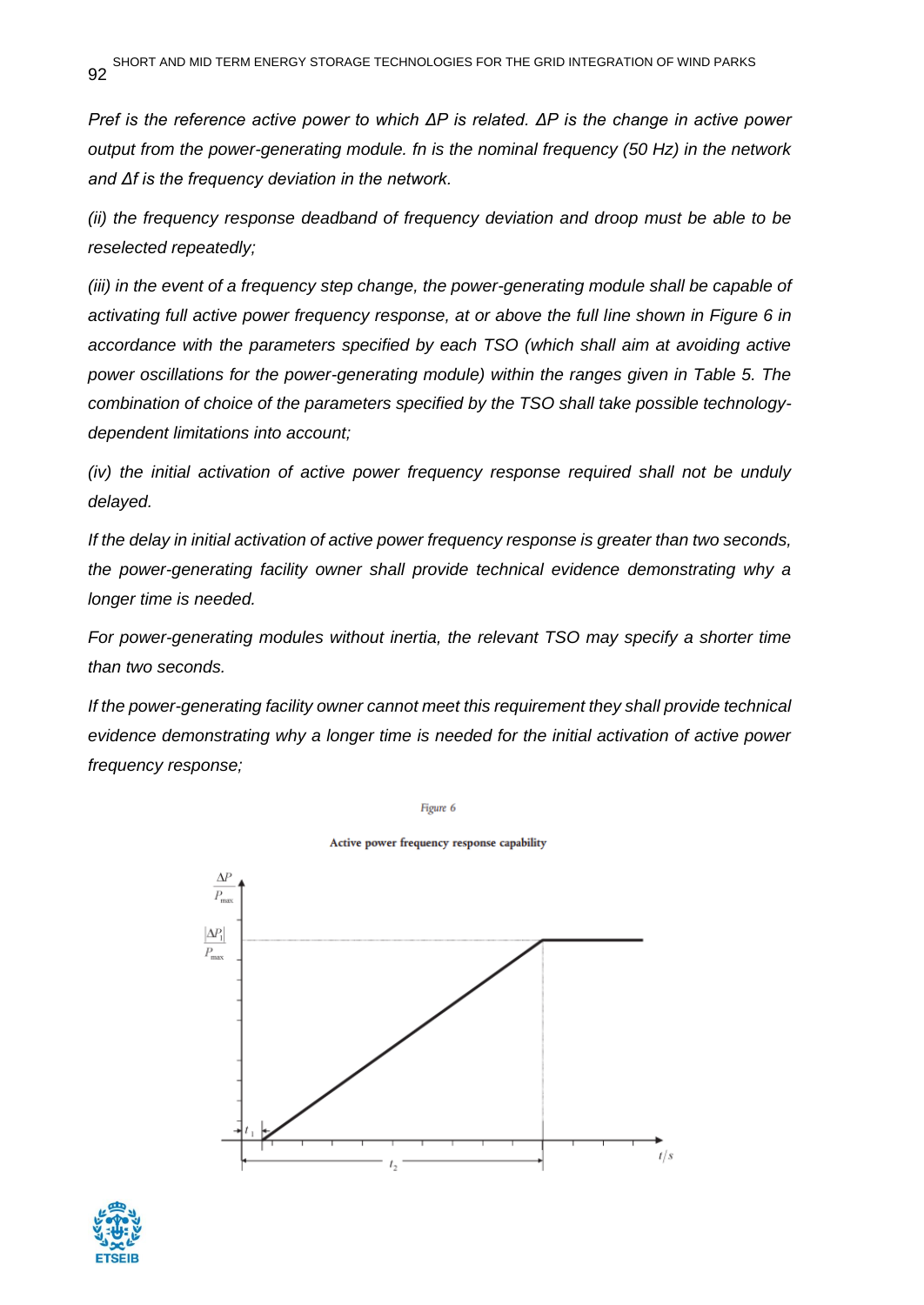*Pref is the reference active power to which ΔΡ is related. ΔΡ is the change in active power output from the power-generating module. fn is the nominal frequency (50 Hz) in the network and Δf is the frequency deviation in the network.*

*(ii) the frequency response deadband of frequency deviation and droop must be able to be reselected repeatedly;*

*(iii) in the event of a frequency step change, the power-generating module shall be capable of activating full active power frequency response, at or above the full line shown in Figure 6 in accordance with the parameters specified by each TSO (which shall aim at avoiding active power oscillations for the power-generating module) within the ranges given in Table 5. The combination of choice of the parameters specified by the TSO shall take possible technologydependent limitations into account;*

*(iv) the initial activation of active power frequency response required shall not be unduly delayed.*

*If the delay in initial activation of active power frequency response is greater than two seconds, the power-generating facility owner shall provide technical evidence demonstrating why a longer time is needed.*

*For power-generating modules without inertia, the relevant TSO may specify a shorter time than two seconds.*

*If the power-generating facility owner cannot meet this requirement they shall provide technical evidence demonstrating why a longer time is needed for the initial activation of active power frequency response;*

Figure 6



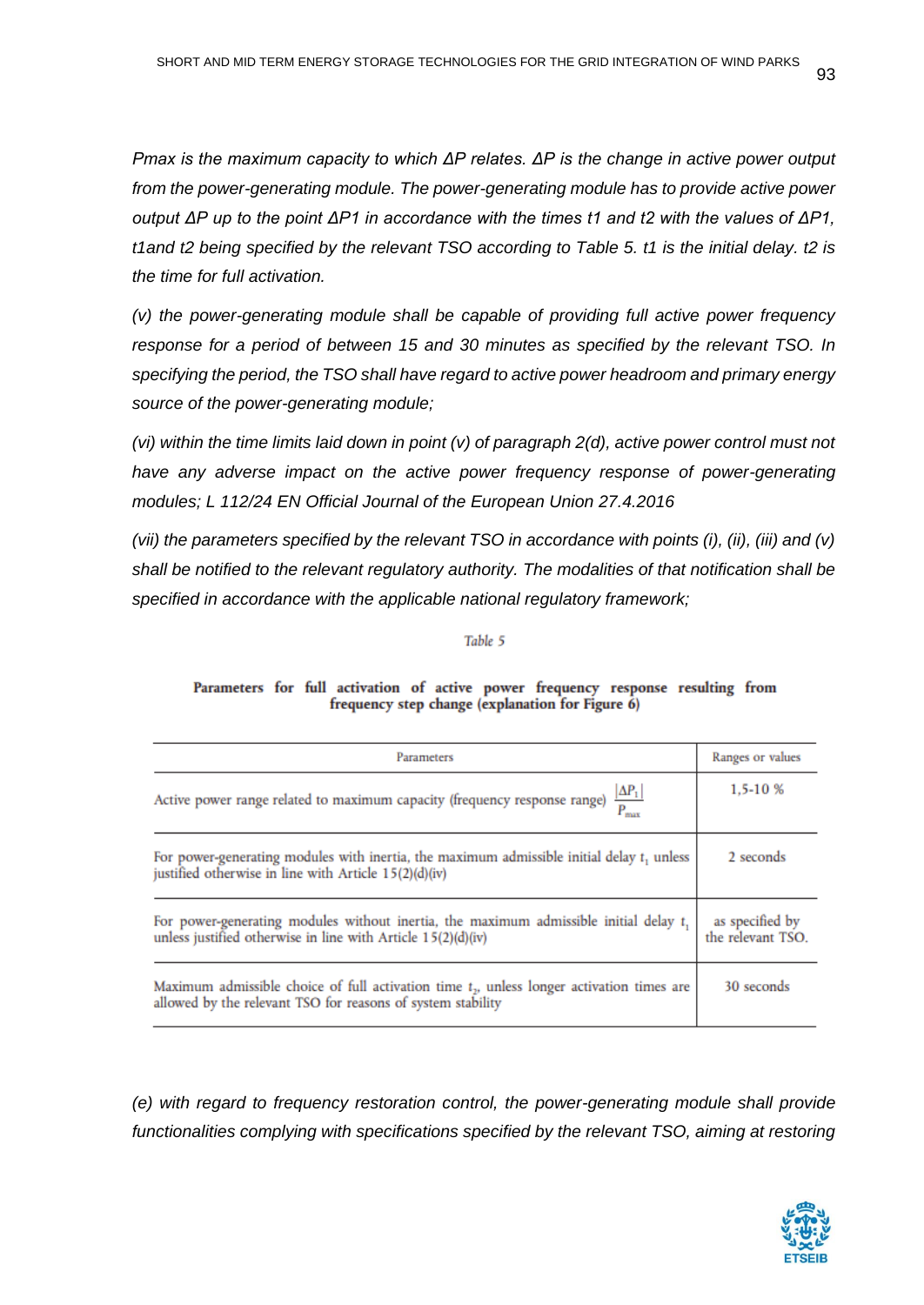*Pmax is the maximum capacity to which ΔΡ relates. ΔΡ is the change in active power output from the power-generating module. The power-generating module has to provide active power output ΔΡ up to the point ΔΡ1 in accordance with the times t1 and t2 with the values of ΔΡ1, t1and t2 being specified by the relevant TSO according to Table 5. t1 is the initial delay. t2 is the time for full activation.*

*(v) the power-generating module shall be capable of providing full active power frequency response for a period of between 15 and 30 minutes as specified by the relevant TSO. In specifying the period, the TSO shall have regard to active power headroom and primary energy source of the power-generating module;*

*(vi) within the time limits laid down in point (v) of paragraph 2(d), active power control must not have any adverse impact on the active power frequency response of power-generating modules; L 112/24 EN Official Journal of the European Union 27.4.2016* 

*(vii) the parameters specified by the relevant TSO in accordance with points (i), (ii), (iii) and (v) shall be notified to the relevant regulatory authority. The modalities of that notification shall be specified in accordance with the applicable national regulatory framework;*

Table 5

| Parameters                                                                                                                                                 | Ranges or values                     |
|------------------------------------------------------------------------------------------------------------------------------------------------------------|--------------------------------------|
| Active power range related to maximum capacity (frequency response range) $\frac{ \Delta P_1 }{P_{\text{max}}}$                                            | 1,5-10 %                             |
| For power-generating modules with inertia, the maximum admissible initial delay $t_1$ unless<br>justified otherwise in line with Article 15(2)(d)(iv)      | 2 seconds                            |
| For power-generating modules without inertia, the maximum admissible initial delay t,<br>unless justified otherwise in line with Article 15(2)(d)(iv)      | as specified by<br>the relevant TSO. |
| Maximum admissible choice of full activation time $tn$ , unless longer activation times are<br>allowed by the relevant TSO for reasons of system stability | 30 seconds                           |

#### Parameters for full activation of active power frequency response resulting from frequency step change (explanation for Figure 6)

*(e) with regard to frequency restoration control, the power-generating module shall provide*  functionalities complying with specifications specified by the relevant TSO, aiming at restoring

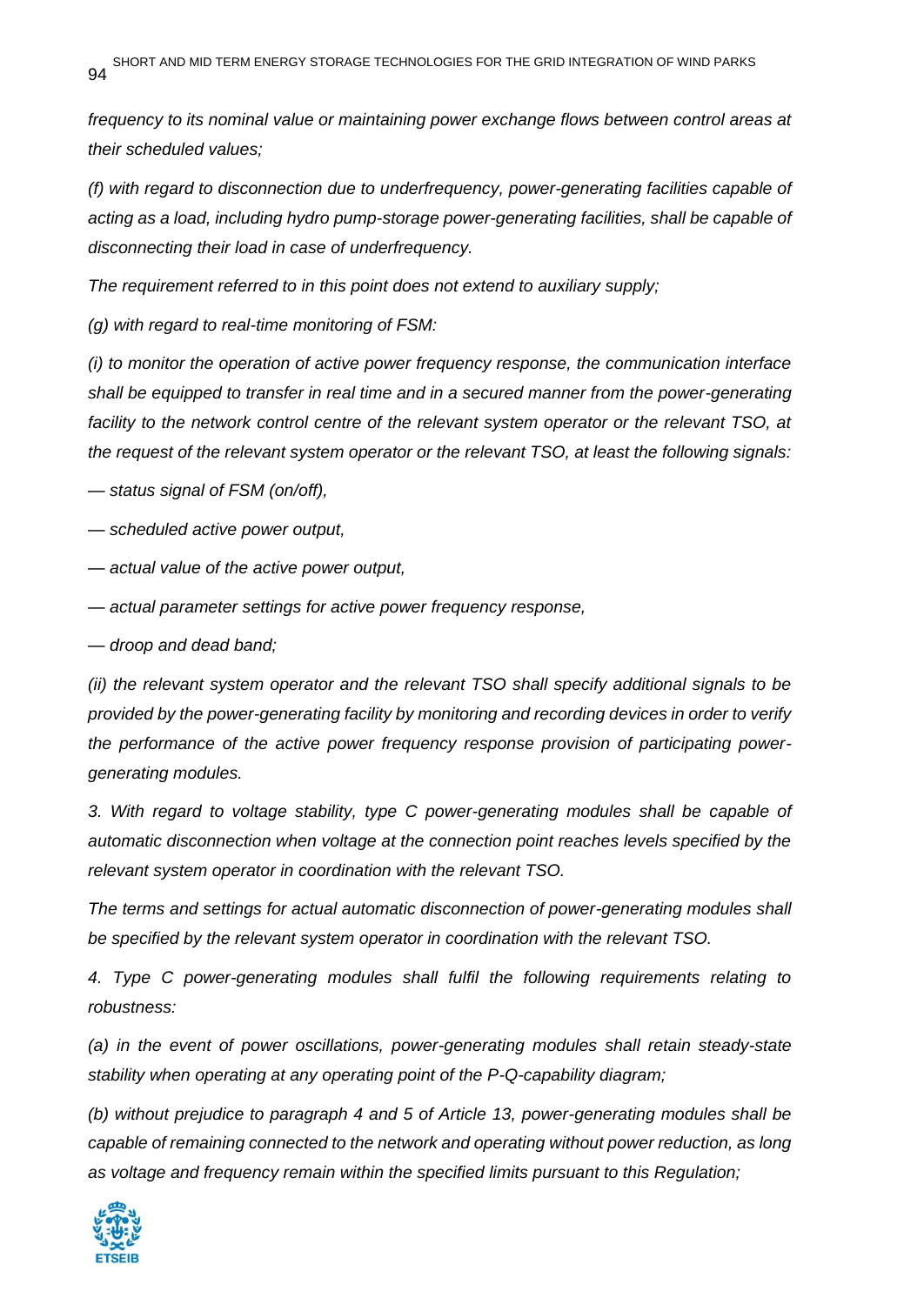*frequency to its nominal value or maintaining power exchange flows between control areas at their scheduled values;*

*(f) with regard to disconnection due to underfrequency, power-generating facilities capable of acting as a load, including hydro pump-storage power-generating facilities, shall be capable of disconnecting their load in case of underfrequency.*

*The requirement referred to in this point does not extend to auxiliary supply;*

*(g) with regard to real-time monitoring of FSM:*

*(i) to monitor the operation of active power frequency response, the communication interface shall be equipped to transfer in real time and in a secured manner from the power-generating facility to the network control centre of the relevant system operator or the relevant TSO, at the request of the relevant system operator or the relevant TSO, at least the following signals:*

*— status signal of FSM (on/off),*

*— scheduled active power output,*

*— actual value of the active power output,*

*— actual parameter settings for active power frequency response,*

*— droop and dead band;*

*(ii) the relevant system operator and the relevant TSO shall specify additional signals to be provided by the power-generating facility by monitoring and recording devices in order to verify the performance of the active power frequency response provision of participating powergenerating modules.*

*3. With regard to voltage stability, type C power-generating modules shall be capable of automatic disconnection when voltage at the connection point reaches levels specified by the relevant system operator in coordination with the relevant TSO.*

*The terms and settings for actual automatic disconnection of power-generating modules shall be specified by the relevant system operator in coordination with the relevant TSO.* 

*4. Type C power-generating modules shall fulfil the following requirements relating to robustness:*

*(a) in the event of power oscillations, power-generating modules shall retain steady-state stability when operating at any operating point of the P-Q-capability diagram;*

*(b) without prejudice to paragraph 4 and 5 of Article 13, power-generating modules shall be capable of remaining connected to the network and operating without power reduction, as long as voltage and frequency remain within the specified limits pursuant to this Regulation;*

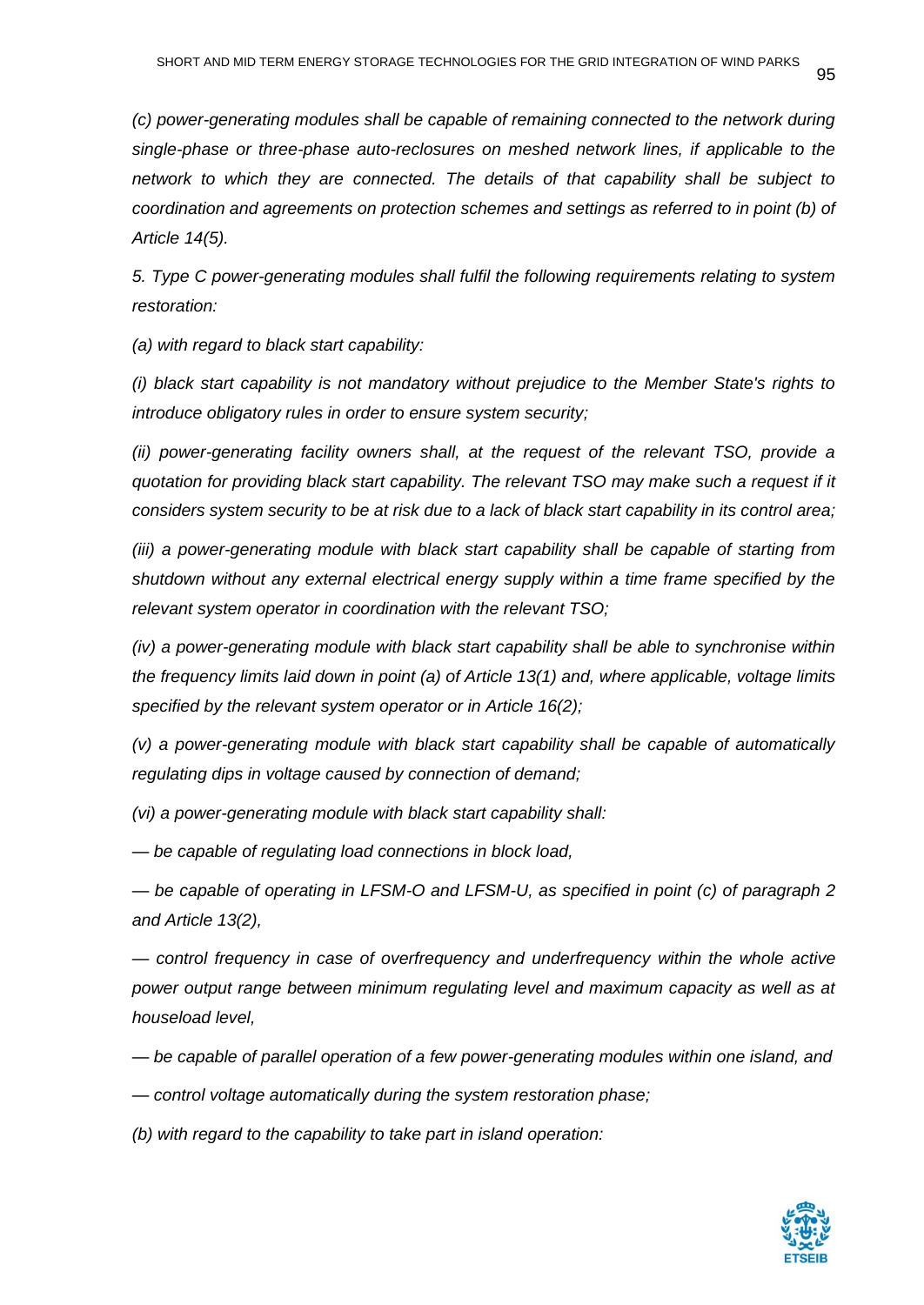*(c) power-generating modules shall be capable of remaining connected to the network during single-phase or three-phase auto-reclosures on meshed network lines, if applicable to the network to which they are connected. The details of that capability shall be subject to coordination and agreements on protection schemes and settings as referred to in point (b) of Article 14(5).*

*5. Type C power-generating modules shall fulfil the following requirements relating to system restoration:*

*(a) with regard to black start capability:*

*(i) black start capability is not mandatory without prejudice to the Member State's rights to introduce obligatory rules in order to ensure system security;*

*(ii) power-generating facility owners shall, at the request of the relevant TSO, provide a quotation for providing black start capability. The relevant TSO may make such a request if it considers system security to be at risk due to a lack of black start capability in its control area;*

*(iii) a power-generating module with black start capability shall be capable of starting from shutdown without any external electrical energy supply within a time frame specified by the relevant system operator in coordination with the relevant TSO;*

*(iv) a power-generating module with black start capability shall be able to synchronise within the frequency limits laid down in point (a) of Article 13(1) and, where applicable, voltage limits specified by the relevant system operator or in Article 16(2);*

*(v) a power-generating module with black start capability shall be capable of automatically regulating dips in voltage caused by connection of demand;*

*(vi) a power-generating module with black start capability shall:*

*— be capable of regulating load connections in block load,*

*— be capable of operating in LFSM-O and LFSM-U, as specified in point (c) of paragraph 2 and Article 13(2),*

*— control frequency in case of overfrequency and underfrequency within the whole active power output range between minimum regulating level and maximum capacity as well as at houseload level,*

*— be capable of parallel operation of a few power-generating modules within one island, and*

*— control voltage automatically during the system restoration phase;*

*(b) with regard to the capability to take part in island operation:*

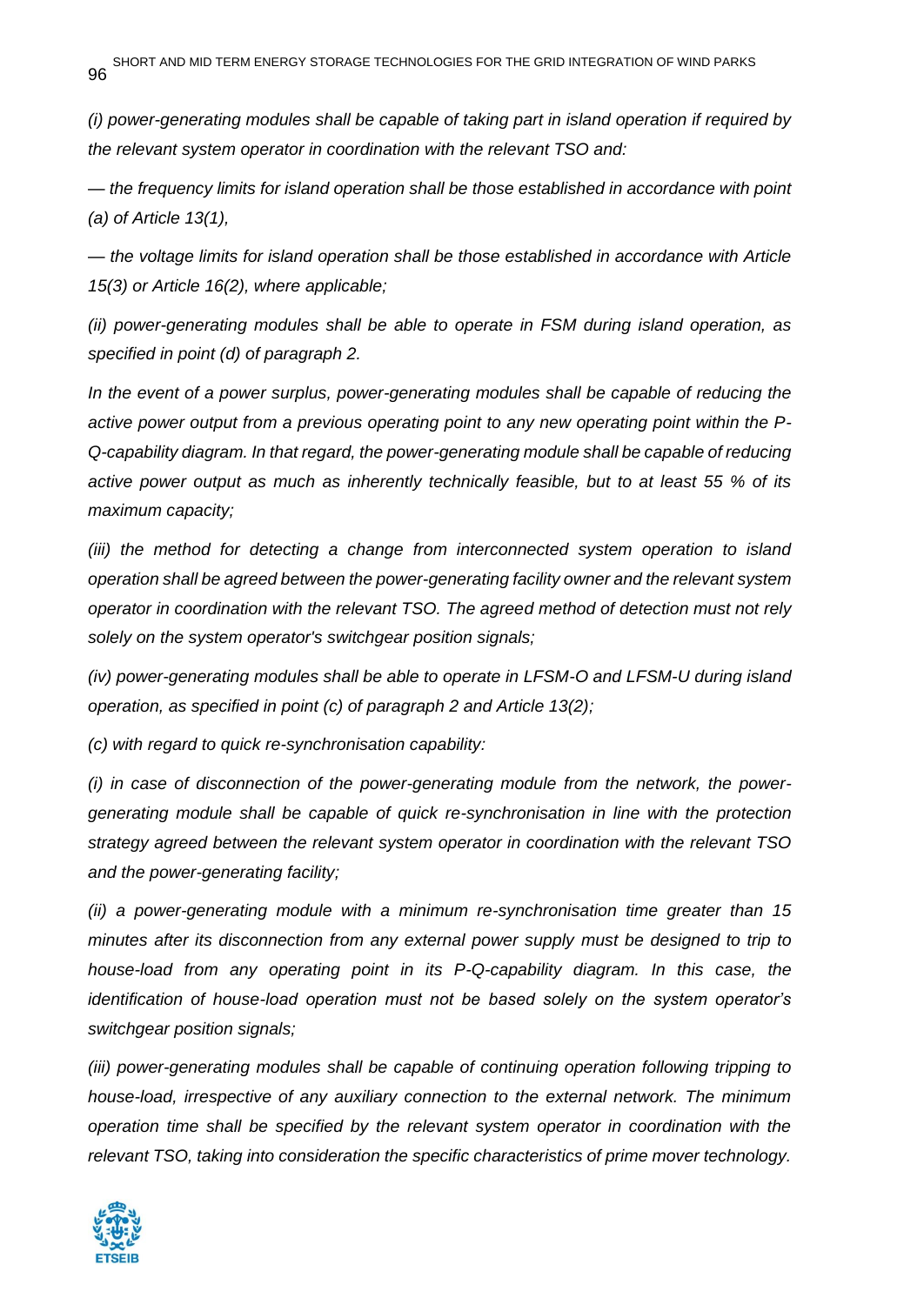*(i) power-generating modules shall be capable of taking part in island operation if required by the relevant system operator in coordination with the relevant TSO and:*

*— the frequency limits for island operation shall be those established in accordance with point (a) of Article 13(1),*

*— the voltage limits for island operation shall be those established in accordance with Article 15(3) or Article 16(2), where applicable;*

*(ii) power-generating modules shall be able to operate in FSM during island operation, as specified in point (d) of paragraph 2.*

*In the event of a power surplus, power-generating modules shall be capable of reducing the active power output from a previous operating point to any new operating point within the P-Q-capability diagram. In that regard, the power-generating module shall be capable of reducing active power output as much as inherently technically feasible, but to at least 55 % of its maximum capacity;*

*(iii)* the method for detecting a change from interconnected system operation to island *operation shall be agreed between the power-generating facility owner and the relevant system operator in coordination with the relevant TSO. The agreed method of detection must not rely solely on the system operator's switchgear position signals;*

*(iv) power-generating modules shall be able to operate in LFSM-O and LFSM-U during island operation, as specified in point (c) of paragraph 2 and Article 13(2);*

*(c) with regard to quick re-synchronisation capability:*

*(i) in case of disconnection of the power-generating module from the network, the powergenerating module shall be capable of quick re-synchronisation in line with the protection strategy agreed between the relevant system operator in coordination with the relevant TSO and the power-generating facility;*

*(ii) a power-generating module with a minimum re-synchronisation time greater than 15 minutes after its disconnection from any external power supply must be designed to trip to house-load from any operating point in its P-Q-capability diagram. In this case, the identification of house-load operation must not be based solely on the system operator's switchgear position signals;*

*(iii) power-generating modules shall be capable of continuing operation following tripping to house-load, irrespective of any auxiliary connection to the external network. The minimum operation time shall be specified by the relevant system operator in coordination with the relevant TSO, taking into consideration the specific characteristics of prime mover technology.*

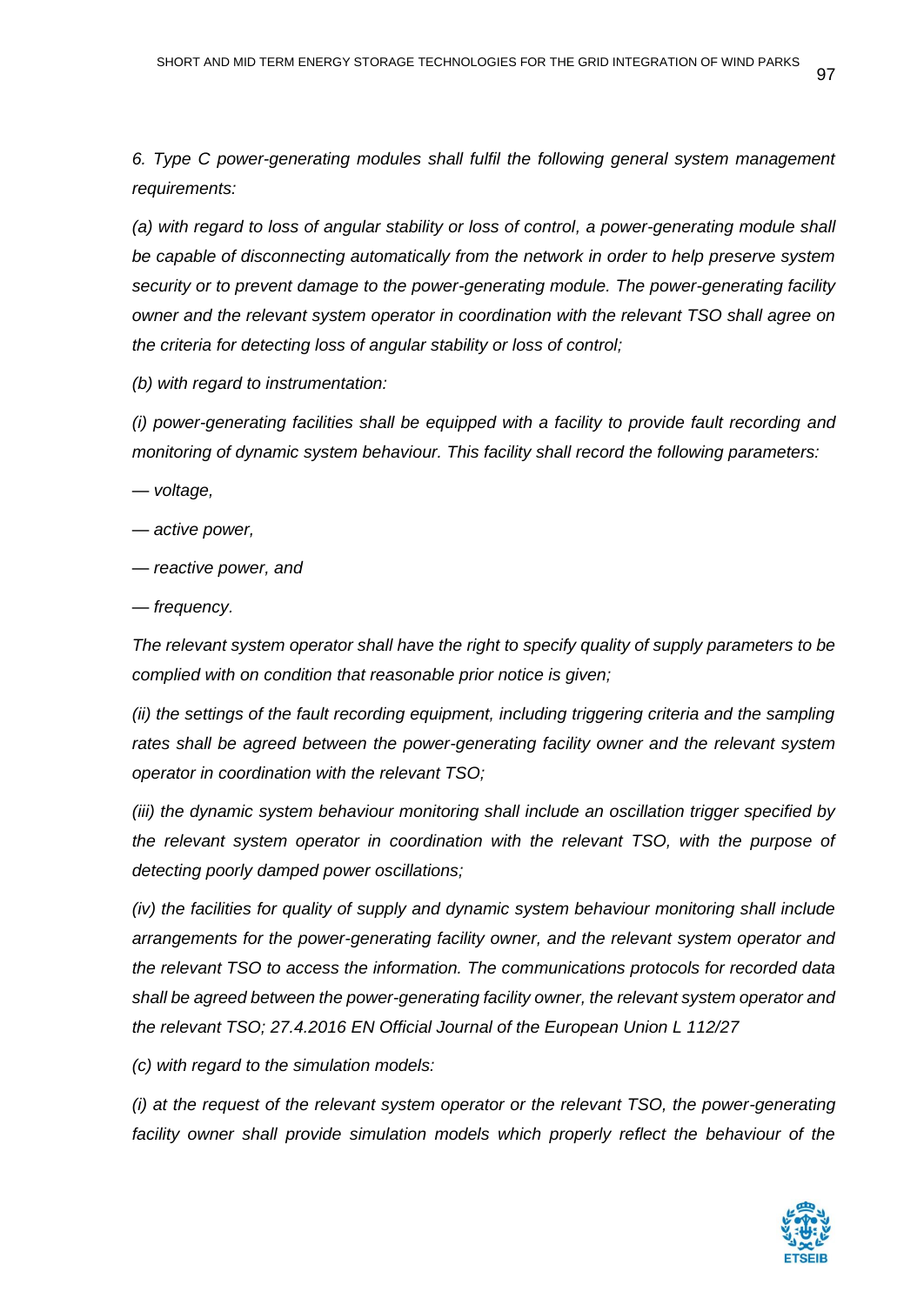*6. Type C power-generating modules shall fulfil the following general system management requirements:*

*(a) with regard to loss of angular stability or loss of control, a power-generating module shall be capable of disconnecting automatically from the network in order to help preserve system security or to prevent damage to the power-generating module. The power-generating facility owner and the relevant system operator in coordination with the relevant TSO shall agree on the criteria for detecting loss of angular stability or loss of control;*

*(b) with regard to instrumentation:*

*(i) power-generating facilities shall be equipped with a facility to provide fault recording and monitoring of dynamic system behaviour. This facility shall record the following parameters:*

*— voltage,*

- *— active power,*
- *— reactive power, and*
- *— frequency.*

*The relevant system operator shall have the right to specify quality of supply parameters to be complied with on condition that reasonable prior notice is given;*

*(ii) the settings of the fault recording equipment, including triggering criteria and the sampling*  rates shall be agreed between the power-generating facility owner and the relevant system *operator in coordination with the relevant TSO;*

*(iii) the dynamic system behaviour monitoring shall include an oscillation trigger specified by the relevant system operator in coordination with the relevant TSO, with the purpose of detecting poorly damped power oscillations;*

*(iv) the facilities for quality of supply and dynamic system behaviour monitoring shall include arrangements for the power-generating facility owner, and the relevant system operator and the relevant TSO to access the information. The communications protocols for recorded data shall be agreed between the power-generating facility owner, the relevant system operator and the relevant TSO; 27.4.2016 EN Official Journal of the European Union L 112/27* 

*(c) with regard to the simulation models:*

*(i) at the request of the relevant system operator or the relevant TSO, the power-generating*  facility owner shall provide simulation models which properly reflect the behaviour of the

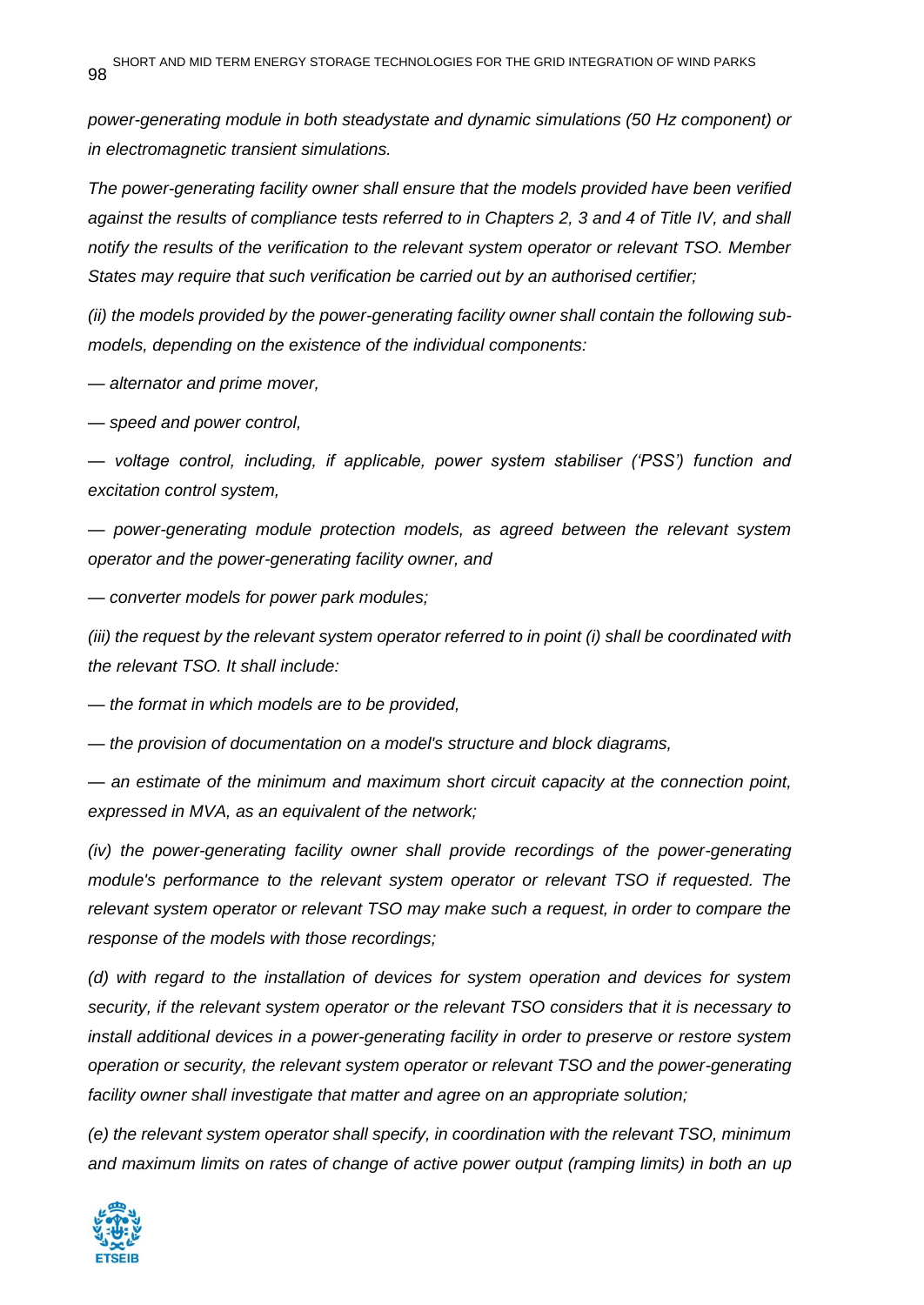*power-generating module in both steadystate and dynamic simulations (50 Hz component) or in electromagnetic transient simulations.*

*The power-generating facility owner shall ensure that the models provided have been verified against the results of compliance tests referred to in Chapters 2, 3 and 4 of Title IV, and shall notify the results of the verification to the relevant system operator or relevant TSO. Member States may require that such verification be carried out by an authorised certifier;*

*(ii) the models provided by the power-generating facility owner shall contain the following submodels, depending on the existence of the individual components:*

*— alternator and prime mover,*

*— speed and power control,*

*— voltage control, including, if applicable, power system stabiliser ('PSS') function and excitation control system,*

*— power-generating module protection models, as agreed between the relevant system operator and the power-generating facility owner, and*

*— converter models for power park modules;*

*(iii) the request by the relevant system operator referred to in point (i) shall be coordinated with the relevant TSO. It shall include:*

*— the format in which models are to be provided,*

*— the provision of documentation on a model's structure and block diagrams,*

*— an estimate of the minimum and maximum short circuit capacity at the connection point, expressed in MVA, as an equivalent of the network;*

*(iv)* the power-generating facility owner shall provide recordings of the power-generating *module's performance to the relevant system operator or relevant TSO if requested. The relevant system operator or relevant TSO may make such a request, in order to compare the response of the models with those recordings;*

*(d) with regard to the installation of devices for system operation and devices for system security, if the relevant system operator or the relevant TSO considers that it is necessary to install additional devices in a power-generating facility in order to preserve or restore system operation or security, the relevant system operator or relevant TSO and the power-generating facility owner shall investigate that matter and agree on an appropriate solution;*

*(e) the relevant system operator shall specify, in coordination with the relevant TSO, minimum and maximum limits on rates of change of active power output (ramping limits) in both an up* 

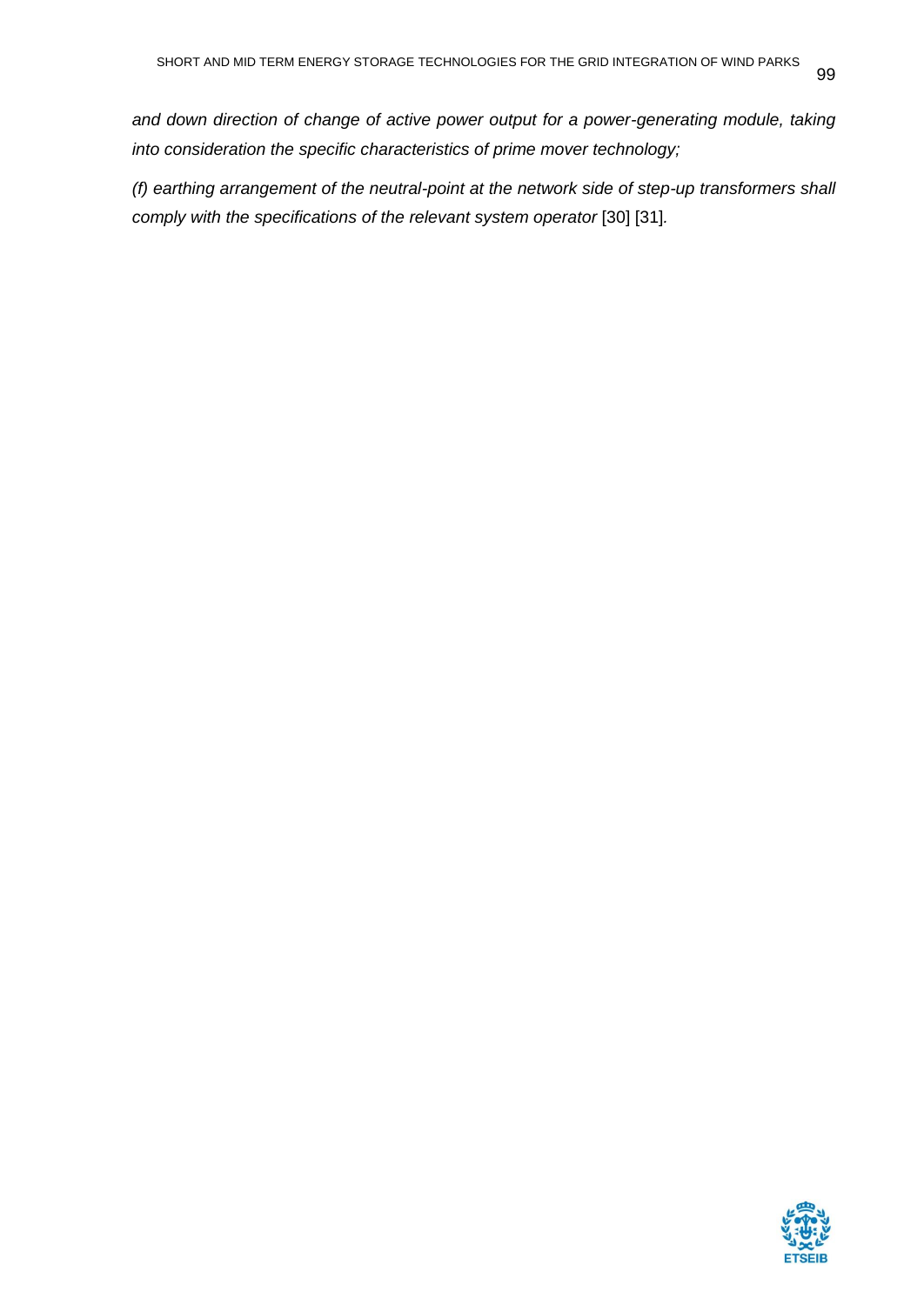and down direction of change of active power output for a power-generating module, taking *into consideration the specific characteristics of prime mover technology;*

*(f) earthing arrangement of the neutral-point at the network side of step-up transformers shall comply with the specifications of the relevant system operator* [30] [31]*.*

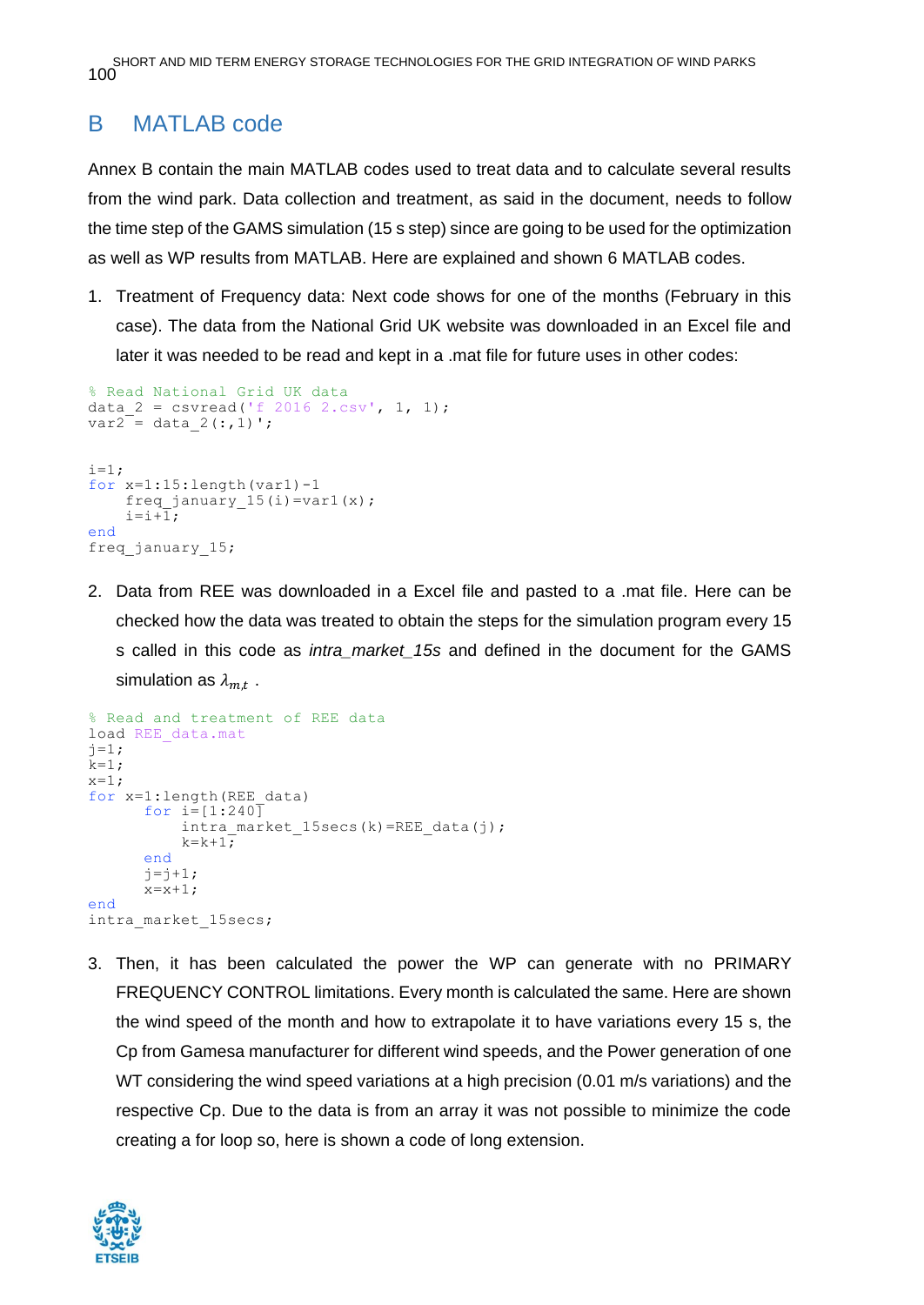SHORT AND MID TERM ENERGY STORAGE TECHNOLOGIES FOR THE GRID INTEGRATION OF WIND PARKS 100

### B MATLAB code

Annex B contain the main MATLAB codes used to treat data and to calculate several results from the wind park. Data collection and treatment, as said in the document, needs to follow the time step of the GAMS simulation (15 s step) since are going to be used for the optimization as well as WP results from MATLAB. Here are explained and shown 6 MATLAB codes.

1. Treatment of Frequency data: Next code shows for one of the months (February in this case). The data from the National Grid UK website was downloaded in an Excel file and later it was needed to be read and kept in a .mat file for future uses in other codes:

```
% Read National Grid UK data
data 2 = \text{csvread('f 2016 2.csv', 1, 1)};
var2 = data_2(:,1)';
i=1;for x=1:15:length(yar1)-1freq january 15(i) =var1(x);
    i=i+\overline{1};end
freq january 15;
```
2. Data from REE was downloaded in a Excel file and pasted to a .mat file. Here can be checked how the data was treated to obtain the steps for the simulation program every 15 s called in this code as *intra\_market\_15s* and defined in the document for the GAMS simulation as  $\lambda_{m,t}$  .

```
% Read and treatment of REE data 
load REE data.mat
j=1;k=1;x=1;for x=1:length(REE data)
      for i=[1:240]
          intra market 15secs(k)=REE data(j);
          k=k+1;end
      j = j + 1;x=x+1:
end
intra_market_15secs;
```
3. Then, it has been calculated the power the WP can generate with no PRIMARY FREQUENCY CONTROL limitations. Every month is calculated the same. Here are shown the wind speed of the month and how to extrapolate it to have variations every 15 s, the Cp from Gamesa manufacturer for different wind speeds, and the Power generation of one WT considering the wind speed variations at a high precision (0.01 m/s variations) and the respective Cp. Due to the data is from an array it was not possible to minimize the code creating a for loop so, here is shown a code of long extension.

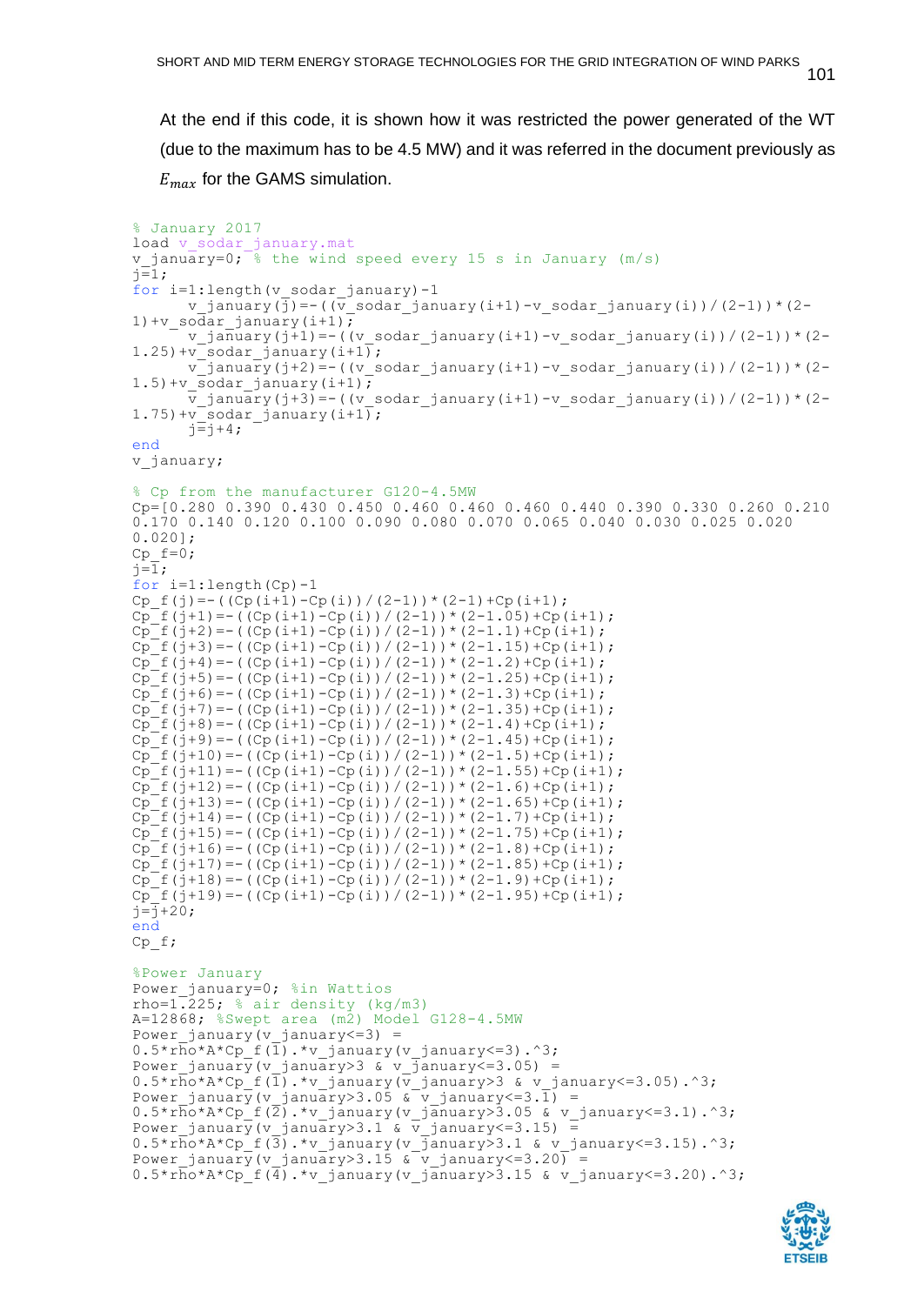101

At the end if this code, it is shown how it was restricted the power generated of the WT (due to the maximum has to be 4.5 MW) and it was referred in the document previously as  $E_{max}$  for the GAMS simulation.

```
% January 2017
load v sodar january.mat
v january=0; \frac{1}{8} the wind speed every 15 s in January (m/s)
i=1;for i=1:length(v_sodar_january)-1
       v january(\overline{j})=-((\overline{v} sodar january(i+1)-v sodar january(i))/(2-1))*(2-
1)+v sodar january(i+1);
       v january(j+1)=-((v sodar january(i+1)-v sodar january(i))/(2-1))*(2-
1.25) +v sodar january(i+1);
       v january(j+2)=-((v sodar january(i+1)-v sodar january(i))/(2-1))*(2-
1.5) +v sodar january(i+1);
       \overline{v} january(j+3)=-((v sodar january(i+1)-v sodar january(i))/(2-1))*(2-
1.75) +vsodar january(i+1);
       \overline{j}=\overline{j}+4;
end
v_january;
% Cp from the manufacturer G120-4.5MW
Cp=[0.280 0.390 0.430 0.450 0.460 0.460 0.460 0.440 0.390 0.330 0.260 0.210 
0.170 0.140 0.120 0.100 0.090 0.080 0.070 0.065 0.040 0.030 0.025 0.020 
0.020];
Cp f=0;
i=\overline{1};
for i=1:length(Cp)-1
Cp f(j) = - ((Cp(i+1)-Cp(i))/(2-1))*(2-1)+Cp(i+1);
Cp^{-}f(j+1) = -((Cp(i+1)-Cp(i)))/(2-1) * (2-1.05) + Cp(i+1);Cp^-f(j+2) = -((Cp(i+1)-Cp(i))/(2-1))*(2-1.1)+Cp(i+1);Cp^-f(j+3) = -((Cp(i+1)-Cp(i))/(2-1))*(2-1.15)+Cp(i+1);Cp^-f(j+4) = -((Cp(i+1)-Cp(i))/(2-1))*(2-1.2)+Cp(i+1);Cp<sup>-</sup>f(j+5)=-((Cp(i+1)-Cp(i))/(2-1))*(2-1.25)+Cp(i+1);
Cp<sup>\Gamma</sup>f(j+6)=-((Cp(i+1)-Cp(i))/(2-1))*(2-1.3)+Cp(i+1);
Cp^-f(j+7) = - ((Cp(i+1)-Cp(i)) / (2-1)) * (2-1.35) +Cp(i+1);
Cp^-f(j+8) = -((Cp(i+1)-Cp(i))/(2-1))*(2-1.4)+Cp(i+1);Cp^{-}f(j+9) = - ((Cp(i+1)-Cp(i))/(2-1))*(2-1.45)+Cp(i+1);
Cp^-f(j+10) = - ((Cp(i+1)-Cp(i))/(2-1))*(2-1.5)+Cp(i+1);
Cp^-f(j+11) = -((Cp(i+1)-Cp(i))/(2-1))*(2-1.55)+Cp(i+1);Cp^{-}f(j+12) = -((Cp(i+1)-Cp(i))/(2-1))*(2-1.6)+Cp(i+1);\overline{Cp} f(j+13) = -((\overline{Cp}(i+1) -\overline{Cp}(i))/(2-1))*(2-1.65)+\overline{Cp}(i+1);
Cp^{\top}f(j+14)=-((Cp(i+1)-Cp(i))/(2-1))*(2-1.7)+Cp(i+1);Cp^{\text{th}}(j+15) = -((Cp(i+1)-Cp(i))/(2-1))^*(2-1.75)+Cp(i+1);Cp^-f(j+16) = -((Cp(i+1)-Cp(i))/(2-1))*(2-1.8)+Cp(i+1);Cp^-f(j+17) = -((Cp(i+1)-Cp(i))/(2-1))*(2-1.85)+Cp(i+1);Cp^-f(j+18) = -(Cp(i+1)-Cp(i))/(2-1) * (2-1.9) + Cp(i+1);Cp^-f(j+19) = -((Cp(i+1)-Cp(i))/(2-1))*(2-1.95)+Cp(i+1);j=\overline{j}+20;end
Cp_f;
%Power January
Power_january=0; %in Wattios
rho=1.225; % air density (kg/m3)
A=12868; %Swept area (m2) Model G128-4.5MW
Power january(v january\leq=3) =
0.5*rho*A*Cp f(\overline{1}).*v january(v january<=3).^3;
Power january(v january>3 & v january<=3.05) =
0.5*r\overline{h}o*A*Cp~f(\overline{1}).*v january(\overline{v} january>3 & v january<=3.05).^3;
Power january(v january>3.05 & v january<=3.1) =
0.5*r\overline{h}o^{\star}A^{\star}Cp f(\overline{2}).*v_january(v_january>3.05 & v_january<=3.1).^3;
Power january(v_january>3.1 & v_january<=3.15) =
0.5*r\overline{ho} *A*cp_f(\overline{3}).*v_january(v_january>3.1 & v_january<=3.15).^3;
Power january(v january>3.15 & v january <= 3.20) =
0.5*rho*A*Cp~f(\overline{4}).*v january(v_january>3.15 & v_january<=3.20).^3;
```
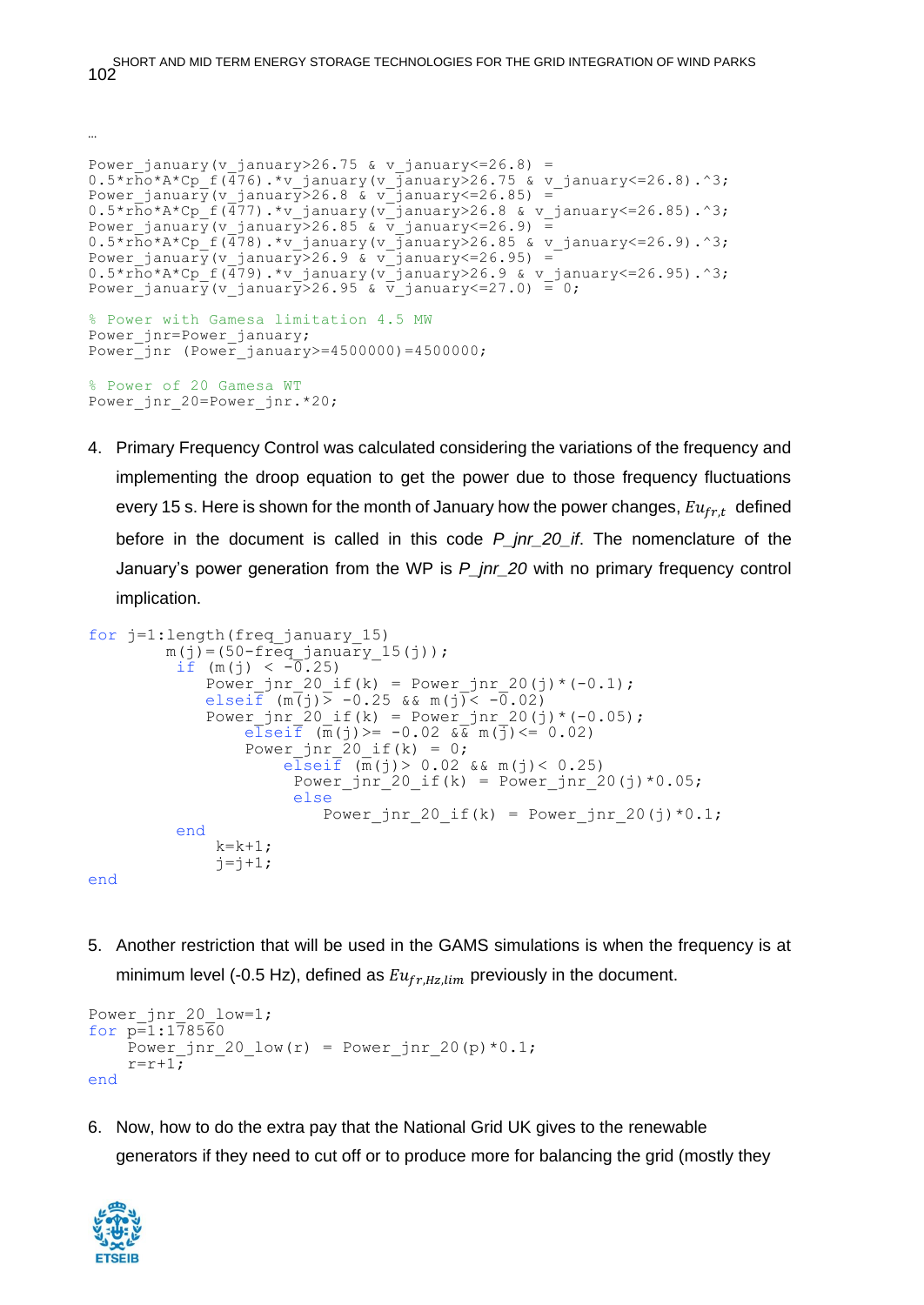SHORT AND MID TERM ENERGY STORAGE TECHNOLOGIES FOR THE GRID INTEGRATION OF WIND PARKS 102

Power january(v january>26.75 & v january <= 26.8) =  $0.5*r\overline{h}o^*A^*Cp$  f( $\overline{476}$ ).\*v\_january(v\_january>26.75 & v\_january<=26.8).^3; Power january(v january>26.8 & v january<=26.85) = 0.5\*rho\*A\*Cp\_f(477).\*v\_january(v\_january>26.8 & v\_january<=26.85).^3; Power january(v january>26.85 &  $\overline{v}$  january<=26.9) =  $0.5*r\overline{h}o^*A^*Cp~f(\overline{478})$ .\*v\_january(v\_january>26.85 & v\_january<=26.9).^3; Power january(v january>26.9 & v january<=26.95) =  $0.5*r\overline{ho} *A*Cp^-f(\overline{479})$ .\*v\_january(v\_january>26.9 & v\_january<=26.95).^3; Power january(v january>26.95 & v january <= 27.0) = 0; % Power with Gamesa limitation 4.5 MW Power jnr=Power january;  $Power$ jnr (Power\_january>=4500000)=4500000; % Power of 20 Gamesa WT Power jnr 20=Power jnr.\*20;

4. Primary Frequency Control was calculated considering the variations of the frequency and implementing the droop equation to get the power due to those frequency fluctuations every 15 s. Here is shown for the month of January how the power changes,  $Eu_{fr,t}$  defined before in the document is called in this code *P\_jnr\_20\_if*. The nomenclature of the January's power generation from the WP is *P\_jnr\_20* with no primary frequency control implication.

```
for j=1:length(freq_january_15)
         m(j) = (50 - freq january 15(j));
if (m(j) < -0.25)Power jnr 20_if(k) = Power_jnr_20(j)*(-0.1);
              elseif (m(i)) -0.25 & m(i) < -0.02)
              Power jnr 20 if(k) = Power jnr 20(j)*(-0.05);
                  elseif (m(j))=-0.02 \sqrt{x} m(\overline{j}) \le 0.02)
                  Power jnr 20 if(k) = 0;
                       e\overline{1}sei\overline{f} (\overline{m}(j) > 0.02 && m(j) < 0.25)
                        Power \pi 20 if(k) = Power \pinr 20(j)*0.05;
                         else
                           Power jnr 20 if(k) = Power jnr 20(j)*0.1;
           end
              k=k+1;j = j + 1;
```
end

…

5. Another restriction that will be used in the GAMS simulations is when the frequency is at minimum level (-0.5 Hz), defined as  $Eu_{fr,Hz, lim}$  previously in the document.

```
Power jnr 20 low=1;
for p=1:178560Power_jnr_20_low(r) = Power jnr 20(p)*0.1;
    r=r+1;end
```
6. Now, how to do the extra pay that the National Grid UK gives to the renewable generators if they need to cut off or to produce more for balancing the grid (mostly they